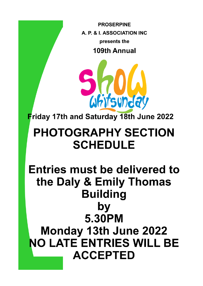**PROSERPINE** A. P. & I. ASSOCIATION INC presents the 109th Annual



Friday 17th and Saturday 18th June 2022

# **PHOTOGRAPHY SECTION SCHEDULE**

# **Entries must be delivered to** the Daly & Emily Thomas **Building** by 5.30PM **Monday 13th June 2022 NO LATE ENTRIES WILL BE ACCEPTED**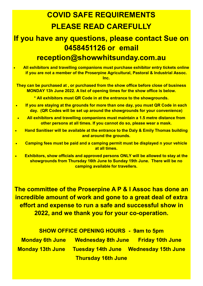# **COVID SAFE REQUIREMENTS PLEASE READ CAREFULLY**

# **If you have any questions, please contact Sue on 0458451126 or email reception@showwhitsunday.com.au**

• **All exhibitors and travelling companions must purchase exhibitor entry tickets online if you are not a member of the Proserpine Agricultural, Pastoral & Industrial Assoc. Inc.**

**They can be purchased at , or purchased from the show office before close of business MONDAY 13h June 2022. A list of opening times for the show office is below.**

**\* All exhibitors must QR Code in at the entrance to the showgrounds.**

- **If you are staying at the grounds for more than one day, you must QR Code in each day. (QR Codes will be set up around the showgrounds for your convenience)**
- **All exhibitors and travelling companions must maintain a 1.5 metre distance from other persons at all times. If you cannot do so, please wear a mask.**
- **Hand Sanitiser will be available at the entrance to the Daly & Emily Thomas building and around the grounds.**
- **Camping fees must be paid and a camping permit must be displayed n your vehicle at all times.**
- **Exhibitors, show officials and approved persons ONLY will be allowed to stay at the showgrounds from Thursday 16th June to Sunday 19th June. There will be no camping available for travellers.**

**The committee of the Proserpine A P & I Assoc has done an incredible amount of work and gone to a great deal of extra effort and expense to run a safe and successful show in 2022, and we thank you for your co-operation.**

**SHOW OFFICE OPENING HOURS - 9am to 5pm Monday 6th June Wednesday 8th June Friday 10th June**

**Monday 13th June Tuesday 14th June Wednesday 15th June Thursday 16th June**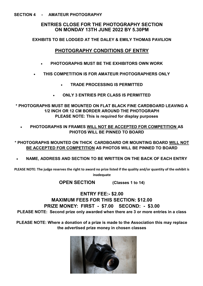#### **SECTION 4 - AMATEUR PHOTOGRAPHY**

#### **ENTRIES CLOSE FOR THE PHOTOGRAPHY SECTION ON MONDAY 13TH JUNE 2022 BY 5.30PM**

**EXHIBITS TO BE LODGED AT THE DALEY & EMILY THOMAS PAVILION**

#### **PHOTOGRAPHY CONDITIONS OF ENTRY**

- **PHOTOGRAPHS MUST BE THE EXHIBITORS OWN WORK**
- **THIS COMPETITION IS FOR AMATEUR PHOTOGRAPHERS ONLY**
	- **TRADE PROCESSING IS PERMITTED**
	- **ONLY 3 ENTRIES PER CLASS IS PERMITTED**

**\* PHOTOGRAPHS MUST BE MOUNTED ON FLAT BLACK FINE CARDBOARD LEAVING A 1/2 INCH OR 12 CM BORDER AROUND THE PHOTOGRAPH PLEASE NOTE: This is required for display purposes**

• **PHOTOGRAPHS IN FRAMES WILL NOT BE ACCEPTED FOR COMPETITION AS PHOTOS WILL BE PINNED TO BOARD**

**\* PHOTOGRAPHS MOUNTED ON THICK CARDBOARD OR MOUNTING BOARD WILL NOT BE ACCEPTED FOR COMPETITION AS PHOTOS WILL BE PINNED TO BOARD**

• **NAME, ADDRESS AND SECTION TO BE WRITTEN ON THE BACK OF EACH ENTRY**

**PLEASE NOTE: The judge reserves the right to award no prize listed if the quality and/or quantity of the exhibit is inadequate**

**OPEN SECTION (Classes 1 to 14)**

## **ENTRY FEE:- \$2.00 MAXIMUM FEES FOR THIS SECTION: \$12.00 PRIZE MONEY: FIRST - \$7.00 SECOND: - \$3.00 PLEASE NOTE: Second prize only awarded when there are 3 or more entries in a class**

**PLEASE NOTE: Where a donation of a prize is made to the Association this may replace the advertised prize money in chosen classes**

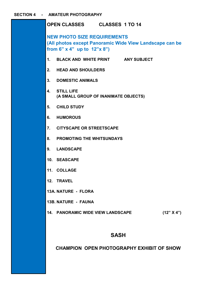| OPEN CLASSES CLASSES 1 TO 14                                                                                                                 |  |  |  |  |
|----------------------------------------------------------------------------------------------------------------------------------------------|--|--|--|--|
| <b>NEW PHOTO SIZE REQUIREMENTS</b><br>(All photos except Panoramic Wide View Landscape can be<br>from 6" $\times$ 4" up to $12" \times 8"$ ) |  |  |  |  |
| 1. BLACK AND WHITE PRINT ANY SUBJECT                                                                                                         |  |  |  |  |
| 2.<br><b>HEAD AND SHOULDERS</b>                                                                                                              |  |  |  |  |
| 3.<br><b>DOMESTIC ANIMALS</b>                                                                                                                |  |  |  |  |
| 4.<br><b>STILL LIFE</b><br>(A SMALL GROUP OF INANIMATE OBJECTS)                                                                              |  |  |  |  |
| <b>CHILD STUDY</b><br>5.                                                                                                                     |  |  |  |  |
| <b>HUMOROUS</b><br>6.                                                                                                                        |  |  |  |  |
| $\overline{7}$ .<br><b>CITYSCAPE OR STREETSCAPE</b>                                                                                          |  |  |  |  |
| 8.<br><b>PROMOTING THE WHITSUNDAYS</b>                                                                                                       |  |  |  |  |
| 9. LANDSCAPE                                                                                                                                 |  |  |  |  |
| 10. SEASCAPE                                                                                                                                 |  |  |  |  |
| 11. COLLAGE                                                                                                                                  |  |  |  |  |
| 12. TRAVEL                                                                                                                                   |  |  |  |  |
| 13A. NATURE - FLORA                                                                                                                          |  |  |  |  |
| <b>13B. NATURE - FAUNA</b>                                                                                                                   |  |  |  |  |
| <b>14. PANORAMIC WIDE VIEW LANDSCAPE</b><br>(12" X 4")                                                                                       |  |  |  |  |
| <b>SASH</b>                                                                                                                                  |  |  |  |  |
|                                                                                                                                              |  |  |  |  |

## **CHAMPION OPEN PHOTOGRAPHY EXHIBIT OF SHOW**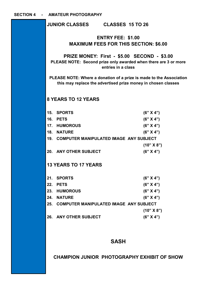|                                                                                                                                             |                                                                          | JUNIOR CLASSES CLASSES 15 TO 26               |  |  |  |  |
|---------------------------------------------------------------------------------------------------------------------------------------------|--------------------------------------------------------------------------|-----------------------------------------------|--|--|--|--|
|                                                                                                                                             | <b>ENTRY FEE: \$1.00</b><br><b>MAXIMUM FEES FOR THIS SECTION: \$6.00</b> |                                               |  |  |  |  |
| <b>PRIZE MONEY: First - \$5.00 SECOND - \$3.00</b><br>PLEASE NOTE: Second prize only awarded when there are 3 or more<br>entries in a class |                                                                          |                                               |  |  |  |  |
| PLEASE NOTE: Where a donation of a prize is made to the Association<br>this may replace the advertised prize money in chosen classes        |                                                                          |                                               |  |  |  |  |
| <b>8 YEARS TO 12 YEARS</b>                                                                                                                  |                                                                          |                                               |  |  |  |  |
|                                                                                                                                             | 15. SPORTS                                                               | (6" X 4")                                     |  |  |  |  |
|                                                                                                                                             | 16. PETS                                                                 | (6" X 4")                                     |  |  |  |  |
|                                                                                                                                             | 17. HUMOROUS                                                             | (6" X 4")                                     |  |  |  |  |
|                                                                                                                                             | 18. NATURE                                                               | (6" X 4")                                     |  |  |  |  |
|                                                                                                                                             | 19. COMPUTER MANIPULATED IMAGE ANY SUBJECT                               |                                               |  |  |  |  |
|                                                                                                                                             |                                                                          | (10" X 8")                                    |  |  |  |  |
|                                                                                                                                             | 20. ANY OTHER SUBJECT                                                    | (6" X 4")                                     |  |  |  |  |
| <b>13 YEARS TO 17 YEARS</b>                                                                                                                 |                                                                          |                                               |  |  |  |  |
| 21.                                                                                                                                         | <b>SPORTS</b>                                                            | (6" X 4")                                     |  |  |  |  |
| 22.                                                                                                                                         | <b>PETS</b>                                                              | (6" X 4")                                     |  |  |  |  |
| 23.                                                                                                                                         | <b>HUMOROUS</b>                                                          | (6" X 4")                                     |  |  |  |  |
| 24.                                                                                                                                         | <b>NATURE</b>                                                            | (6" X 4")                                     |  |  |  |  |
| 25.                                                                                                                                         |                                                                          | <b>COMPUTER MANIPULATED IMAGE ANY SUBJECT</b> |  |  |  |  |
|                                                                                                                                             |                                                                          | (10" X 8")                                    |  |  |  |  |
| 26.                                                                                                                                         | <b>ANY OTHER SUBJECT</b>                                                 | (6" X 4")                                     |  |  |  |  |
|                                                                                                                                             |                                                                          |                                               |  |  |  |  |
|                                                                                                                                             |                                                                          |                                               |  |  |  |  |

# **SASH**

**CHAMPION JUNIOR PHOTOGRAPHY EXHIBIT OF SHOW**